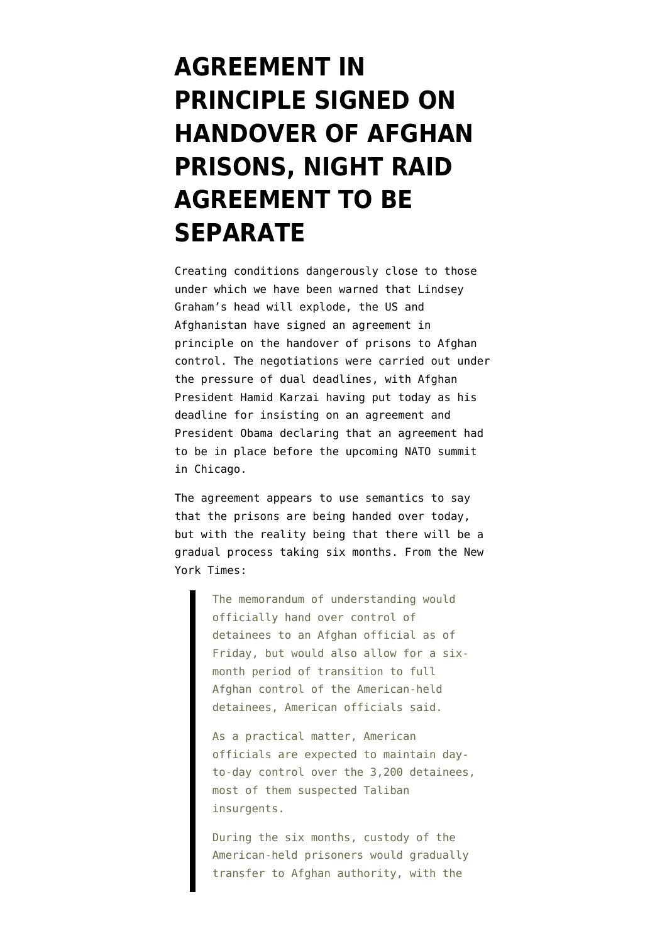## **[AGREEMENT IN](https://www.emptywheel.net/2012/03/09/agreement-in-principle-signed-on-handover-of-afghan-prisons-night-raid-agreement-to-be-separate/) [PRINCIPLE SIGNED ON](https://www.emptywheel.net/2012/03/09/agreement-in-principle-signed-on-handover-of-afghan-prisons-night-raid-agreement-to-be-separate/) [HANDOVER OF AFGHAN](https://www.emptywheel.net/2012/03/09/agreement-in-principle-signed-on-handover-of-afghan-prisons-night-raid-agreement-to-be-separate/) [PRISONS, NIGHT RAID](https://www.emptywheel.net/2012/03/09/agreement-in-principle-signed-on-handover-of-afghan-prisons-night-raid-agreement-to-be-separate/) [AGREEMENT TO BE](https://www.emptywheel.net/2012/03/09/agreement-in-principle-signed-on-handover-of-afghan-prisons-night-raid-agreement-to-be-separate/) [SEPARATE](https://www.emptywheel.net/2012/03/09/agreement-in-principle-signed-on-handover-of-afghan-prisons-night-raid-agreement-to-be-separate/)**

Creating conditions dangerously close to those under which we have been warned that [Lindsey](http://www.emptywheel.net/2012/03/07/graham-throws-tantrum-over-an-afghanistan-with-no-night-raids-or-us-control-of-prisons/) [Graham's head will explode,](http://www.emptywheel.net/2012/03/07/graham-throws-tantrum-over-an-afghanistan-with-no-night-raids-or-us-control-of-prisons/) the US and Afghanistan have signed an agreement in principle on the handover of prisons to Afghan control. The negotiations were carried out under the pressure of dual deadlines, with Afghan President Hamid Karzai having put today as his deadline for insisting on an agreement and President Obama declaring that an agreement had to be in place before the upcoming NATO summit in Chicago.

The agreement appears to use semantics to say that the prisons are being handed over today, but with the reality being that there will be a gradual process taking six months. From the [New](http://www.nytimes.com/2012/03/10/world/asia/us-and-afghanistan-agree-on-detainee-transfer.html) [York Times:](http://www.nytimes.com/2012/03/10/world/asia/us-and-afghanistan-agree-on-detainee-transfer.html)

> The memorandum of understanding would officially hand over control of detainees to an Afghan official as of Friday, but would also allow for a sixmonth period of transition to full Afghan control of the American-held detainees, American officials said.

As a practical matter, American officials are expected to maintain dayto-day control over the 3,200 detainees, most of them suspected Taliban insurgents.

During the six months, custody of the American-held prisoners would gradually transfer to Afghan authority, with the